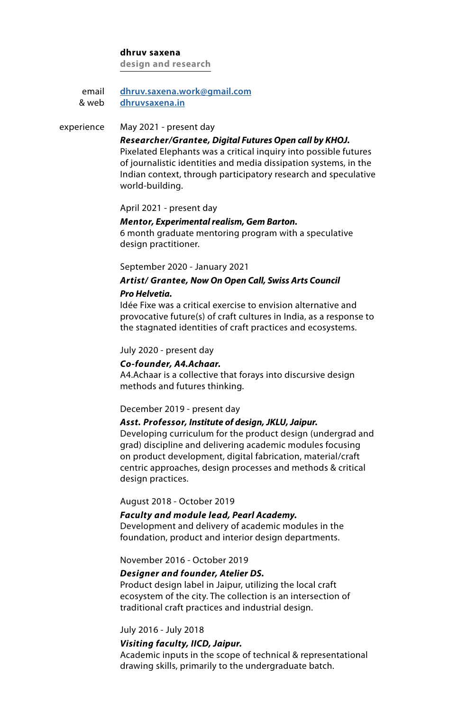#### **dhruv saxena**

**design and research**

email & web **[dhruv.saxena.work@gmail.com](mailto:dhruv.saxena.work%40gmail.com%20?subject=%23CVreply%20.%20%2A) [dhruvsaxena.in](http://dhruvsaxena.in)am**

experience May 2021 - present day

> *Researcher/Grantee, Digital Futures Open call by KHOJ.* Pixelated Elephants was a critical inquiry into possible futures of journalistic identities and media dissipation systems, in the Indian context, through participatory research and speculative world-building.

April 2021 - present day

*Mentor, Experimental realism, Gem Barton.* 6 month graduate mentoring program with a speculative design practitioner.

September 2020 - January 2021

# *Artist/ Grantee, Now On Open Call, Swiss Arts Council Pro Helvetia.*

Idée Fixe was a critical exercise to envision alternative and provocative future(s) of craft cultures in India, as a response to the stagnated identities of craft practices and ecosystems.

July 2020 - present day

### *Co-founder, A4.Achaar.*

A4.Achaar is a collective that forays into discursive design methods and futures thinking.

December 2019 - present day

### *Asst. Professor, Institute of design, JKLU, Jaipur.*

Developing curriculum for the product design (undergrad and grad) discipline and delivering academic modules focusing on product development, digital fabrication, material/craft centric approaches, design processes and methods & critical design practices.

### August 2018 - October 2019

### *Faculty and module lead, Pearl Academy.*

Development and delivery of academic modules in the foundation, product and interior design departments.

November 2016 - October 2019

### *Designer and founder, Atelier DS.*

Product design label in Jaipur, utilizing the local craft ecosystem of the city. The collection is an intersection of traditional craft practices and industrial design.

### July 2016 - July 2018

## *Visiting faculty, IICD, Jaipur.*

Academic inputs in the scope of technical & representational drawing skills, primarily to the undergraduate batch.